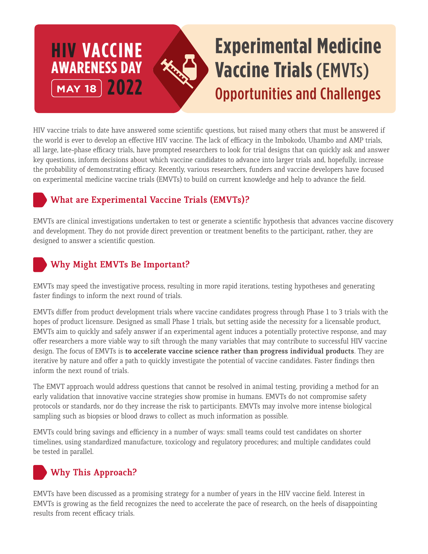## **HIV VACCINE AWARENESS DAY MAY 18 2022 Experimental Medicine Vaccine Trials** (EMVTs) Opportunities and Challenges

HIV vaccine trials to date have answered some scientific questions, but raised many others that must be answered if the world is ever to develop an effective HIV vaccine. The lack of efficacy in the Imbokodo, Uhambo and AMP trials, all large, late-phase efficacy trials, have prompted researchers to look for trial designs that can quickly ask and answer key questions, inform decisions about which vaccine candidates to advance into larger trials and, hopefully, increase the probability of demonstrating efficacy. Recently, various researchers, funders and vaccine developers have focused on experimental medicine vaccine trials (EMVTs) to build on current knowledge and help to advance the field.

#### **What are Experimental Vaccine Trials (EMVTs)?**

EMVTs are clinical investigations undertaken to test or generate a scientific hypothesis that advances vaccine discovery and development. They do not provide direct prevention or treatment benefits to the participant, rather, they are designed to answer a scientific question.

## **Why Might EMVTs Be Important?**

EMVTs may speed the investigative process, resulting in more rapid iterations, testing hypotheses and generating faster findings to inform the next round of trials.

EMVTs differ from product development trials where vaccine candidates progress through Phase 1 to 3 trials with the hopes of product licensure. Designed as small Phase 1 trials, but setting aside the necessity for a licensable product, EMVTs aim to quickly and safely answer if an experimental agent induces a potentially protective response, and may offer researchers a more viable way to sift through the many variables that may contribute to successful HIV vaccine design. The focus of EMVTs is **to accelerate vaccine science rather than progress individual products**. They are iterative by nature and offer a path to quickly investigate the potential of vaccine candidates. Faster findings then inform the next round of trials.

The EMVT approach would address questions that cannot be resolved in animal testing, providing a method for an early validation that innovative vaccine strategies show promise in humans. EMVTs do not compromise safety protocols or standards, nor do they increase the risk to participants. EMVTs may involve more intense biological sampling such as biopsies or blood draws to collect as much information as possible.

EMVTs could bring savings and efficiency in a number of ways: small teams could test candidates on shorter timelines, using standardized manufacture, toxicology and regulatory procedures; and multiple candidates could be tested in parallel.

# **Why This Approach?**

EMVTs have been discussed as a promising strategy for a number of years in the HIV vaccine field. Interest in EMVTs is growing as the field recognizes the need to accelerate the pace of research, on the heels of disappointing results from recent efficacy trials.